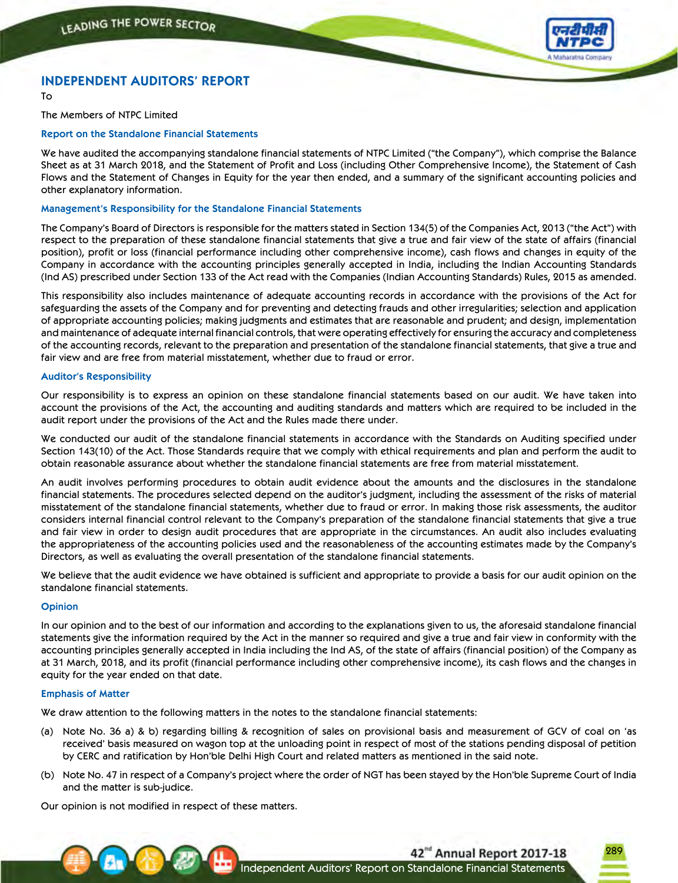

289

## **INDEPENDENT AUDITORS' REPORT**

#### To

The Members of NTPC Limited

### **Report on the Standalone Financial Statements**

We have audited the accompanying standalone financial statements of NTPC Limited ("the Company"), which comprise the Balance Sheet as at 31 March 2018, and the Statement of Profit and Loss (including Other Comprehensive Income), the Statement of Cash Flows and the Statement of Changes in Equity for the year then ended, and a summary of the significant accounting policies and other explanatory information.

### **Management's Responsibility for the Standalone Financial Statements**

The Company's Board of Directors is responsible for the matters stated in Section 134(5) of the Companies Act, 2013 ("the Act") with respect to the preparation of these standalone financial statements that give a true and fair view of the state of affairs (financial position), profit or loss (financial performance including other comprehensive income), cash flows and changes in equity of the Company in accordance with the accounting principles generally accepted in India, including the Indian Accounting Standards (Ind AS) prescribed under Section 133 of the Act read with the Companies (Indian Accounting Standards) Rules, 2015 as amended.

This responsibility also includes maintenance of adequate accounting records in accordance with the provisions of the Act for safeguarding the assets of the Company and for preventing and detecting frauds and other irregularities; selection and application of appropriate accounting policies; making judgments and estimates that are reasonable and prudent; and design, implementation and maintenance of adequate internal financial controls, that were operating effectively for ensuring the accuracy and completeness of the accounting records, relevant to the preparation and presentation of the standalone financial statements, that give a true and fair view and are free from material misstatement, whether due to fraud or error.

### **Auditor's Responsibility**

Our responsibility is to express an opinion on these standalone financial statements based on our audit. We have taken into account the provisions of the Act, the accounting and auditing standards and matters which are required to be included in the audit report under the provisions of the Act and the Rules made there under.

We conducted our audit of the standalone financial statements in accordance with the Standards on Auditing specified under Section 143(10) of the Act. Those Standards require that we comply with ethical requirements and plan and perform the audit to obtain reasonable assurance about whether the standalone financial statements are free from material misstatement.

An audit involves performing procedures to obtain audit evidence about the amounts and the disclosures in the standalone financial statements. The procedures selected depend on the auditor's judgment, including the assessment of the risks of material misstatement of the standalone financial statements, whether due to fraud or error. In making those risk assessments, the auditor considers internal financial control relevant to the Company's preparation of the standalone financial statements that give a true and fair view in order to design audit procedures that are appropriate in the circumstances. An audit also includes evaluating the appropriateness of the accounting policies used and the reasonableness of the accounting estimates made by the Company's Directors, as well as evaluating the overall presentation of the standalone financial statements.

We believe that the audit evidence we have obtained is sufficient and appropriate to provide a basis for our audit opinion on the standalone financial statements.

#### **Opinion**

In our opinion and to the best of our information and according to the explanations given to us, the aforesaid standalone financial statements give the information required by the Act in the manner so required and give a true and fair view in conformity with the accounting principles generally accepted in India including the Ind AS, of the state of affairs (financial position) of the Company as at 31 March, 2018, and its profit (financial performance including other comprehensive income), its cash flows and the changes in equity for the year ended on that date.

#### **Emphasis of Matter**

We draw attention to the following matters in the notes to the standalone financial statements:

- (a) Note No. 36 a) & b) regarding billing & recognition of sales on provisional basis and measurement of GCV of coal on 'as received' basis measured on wagon top at the unloading point in respect of most of the stations pending disposal of petition by CERC and ratification by Hon'ble Delhi High Court and related matters as mentioned in the said note.
- (b) Note No. 47 in respect of a Company's project where the order of NGT has been stayed by the Hon'ble Supreme Court of India and the matter is sub-judice.

Our opinion is not modified in respect of these matters.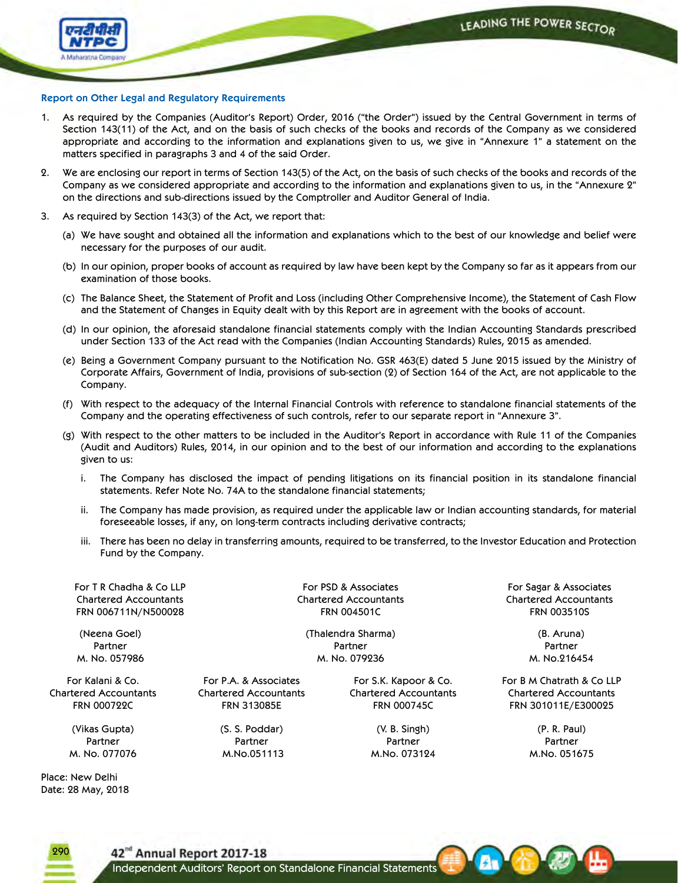

### **Report on Other Legal and Regulatory Requirements**

- 1. As required by the Companies (Auditor's Report) Order, 2016 ("the Order") issued by the Central Government in terms of Section 143(11) of the Act, and on the basis of such checks of the books and records of the Company as we considered appropriate and according to the information and explanations given to us, we give in "Annexure 1" a statement on the matters specified in paragraphs 3 and 4 of the said Order.
- 2. We are enclosing our report in terms of Section 143(5) of the Act, on the basis of such checks of the books and records of the Company as we considered appropriate and according to the information and explanations given to us, in the "Annexure 2" on the directions and sub-directions issued by the Comptroller and Auditor General of India.
- 3. As required by Section 143(3) of the Act, we report that:
	- (a) We have sought and obtained all the information and explanations which to the best of our knowledge and belief were necessary for the purposes of our audit.
	- (b) In our opinion, proper books of account as required by law have been kept by the Company so far as it appears from our examination of those books.
	- (c) The Balance Sheet, the Statement of Profit and Loss (including Other Comprehensive Income), the Statement of Cash Flow and the Statement of Changes in Equity dealt with by this Report are in agreement with the books of account.
	- (d) In our opinion, the aforesaid standalone financial statements comply with the Indian Accounting Standards prescribed under Section 133 of the Act read with the Companies (Indian Accounting Standards) Rules, 2015 as amended.
	- (e) Being a Government Company pursuant to the Notification No. GSR 463(E) dated 5 June 2015 issued by the Ministry of Corporate Affairs, Government of India, provisions of sub-section (2) of Section 164 of the Act, are not applicable to the Company.
	- (f) With respect to the adequacy of the Internal Financial Controls with reference to standalone financial statements of the Company and the operating effectiveness of such controls, refer to our separate report in "Annexure 3".
	- (g) With respect to the other matters to be included in the Auditor's Report in accordance with Rule 11 of the Companies (Audit and Auditors) Rules, 2014, in our opinion and to the best of our information and according to the explanations given to us:
		- i. The Company has disclosed the impact of pending litigations on its financial position in its standalone financial statements. Refer Note No. 74A to the standalone financial statements;
		- ii. The Company has made provision, as required under the applicable law or Indian accounting standards, for material foreseeable losses, if any, on long-term contracts including derivative contracts;
		- iii. There has been no delay in transferring amounts, required to be transferred, to the Investor Education and Protection Fund by the Company.

For T R Chadha & Co LLP Chartered Accountants FRN 006711N/N500028

(Neena Goel) Partner M. No. 057986

For Kalani & Co. Chartered Accountants FRN 000722C

> (Vikas Gupta) Partner M. No. 077076

Place: New Delhi Date: 28 May, 2018

290

For PSD & Associates Chartered Accountants FRN 004501C

(Thalendra Sharma) Partner M. No. 079236

> For S.K. Kapoor & Co. Chartered Accountants FRN 000745C

> > (V. B. Singh) Partner M.No. 073124

For Sagar & Associates Chartered Accountants FRN 003510S

> (B. Aruna) Partner M. No.216454

For B M Chatrath & Co LLP Chartered Accountants FRN 301011E/E300025

> (P. R. Paul) Partner M.No. 051675

42<sup>nd</sup> Annual Report 2017-18

Independent Auditors' Report on Standalone Financial Statements

For P.A. & Associates Chartered Accountants FRN 313085E

> (S. S. Poddar) Partner M.No.051113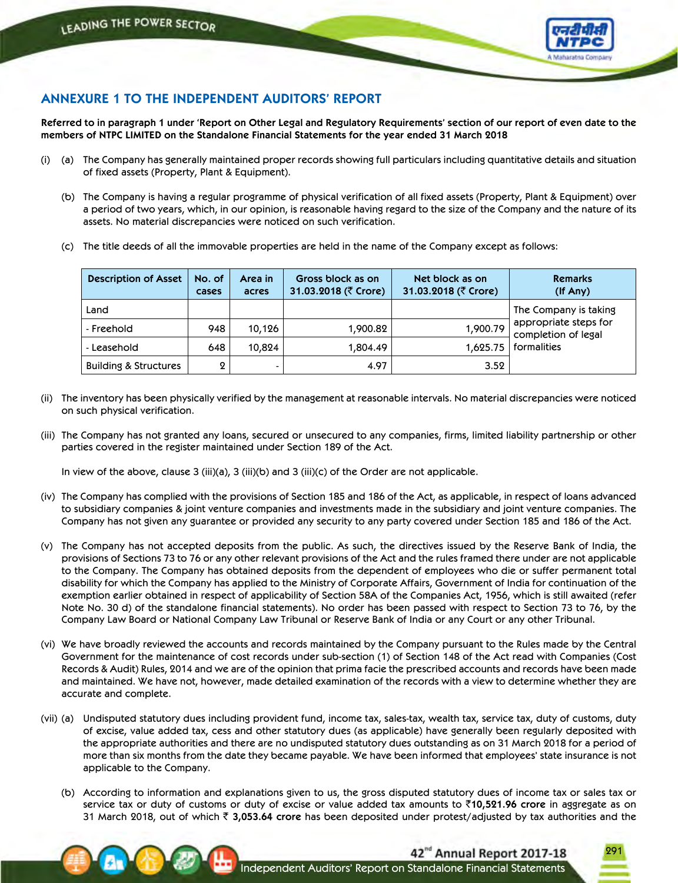

291

## **ANNEXURE 1 TO THE INDEPENDENT AUDITORS' REPORT**

Referred to in paragraph 1 under 'Report on Other Legal and Regulatory Requirements' section of our report of even date to the **members of NTPC LIMITED on the Standalone Financial Statements for the year ended 31 March 2018**

- (i) (a) The Company has generally maintained proper records showing full particulars including quantitative details and situation of fixed assets (Property, Plant & Equipment).
	- (b) The Company is having a regular programme of physical verification of all fixed assets (Property, Plant & Equipment) over a period of two years, which, in our opinion, is reasonable having regard to the size of the Company and the nature of its assets. No material discrepancies were noticed on such verification.
	- (c) The title deeds of all the immovable properties are held in the name of the Company except as follows:

| <b>Description of Asset</b>      | No. of<br>cases | Area in<br>acres | Gross block as on<br>31.03.2018 (₹ Crore) | Net block as on<br>31.03.2018 (₹ Crore) | <b>Remarks</b><br>$($ If Any $)$             |
|----------------------------------|-----------------|------------------|-------------------------------------------|-----------------------------------------|----------------------------------------------|
| Land                             |                 |                  |                                           |                                         | The Company is taking                        |
| - Freehold                       | 948             | 10.126           | 1,900.82                                  | 1,900.79                                | appropriate steps for<br>completion of legal |
| - Leasehold                      | 648             | 10,824           | 1,804.49                                  | 1,625.75                                | formalities                                  |
| <b>Building &amp; Structures</b> | o               | $\blacksquare$   | 4.97                                      | 3.52                                    |                                              |

- (ii) The inventory has been physically verified by the management at reasonable intervals. No material discrepancies were noticed on such physical verification.
- (iii) The Company has not granted any loans, secured or unsecured to any companies, firms, limited liability partnership or other parties covered in the register maintained under Section 189 of the Act.

In view of the above, clause 3 (iii)(a), 3 (iii)(b) and 3 (iii)(c) of the Order are not applicable.

- (iv) The Company has complied with the provisions of Section 185 and 186 of the Act, as applicable, in respect of loans advanced to subsidiary companies & joint venture companies and investments made in the subsidiary and joint venture companies. The Company has not given any guarantee or provided any security to any party covered under Section 185 and 186 of the Act.
- (v) The Company has not accepted deposits from the public. As such, the directives issued by the Reserve Bank of India, the provisions of Sections 73 to 76 or any other relevant provisions of the Act and the rules framed there under are not applicable to the Company. The Company has obtained deposits from the dependent of employees who die or suffer permanent total disability for which the Company has applied to the Ministry of Corporate Affairs, Government of India for continuation of the exemption earlier obtained in respect of applicability of Section 58A of the Companies Act, 1956, which is still awaited (refer Note No. 30 d) of the standalone financial statements). No order has been passed with respect to Section 73 to 76, by the Company Law Board or National Company Law Tribunal or Reserve Bank of India or any Court or any other Tribunal.
- (vi) We have broadly reviewed the accounts and records maintained by the Company pursuant to the Rules made by the Central Government for the maintenance of cost records under sub-section (1) of Section 148 of the Act read with Companies (Cost Records & Audit) Rules, 2014 and we are of the opinion that prima facie the prescribed accounts and records have been made and maintained. We have not, however, made detailed examination of the records with a view to determine whether they are accurate and complete.
- (vii) (a) Undisputed statutory dues including provident fund, income tax, sales-tax, wealth tax, service tax, duty of customs, duty of excise, value added tax, cess and other statutory dues (as applicable) have generally been regularly deposited with the appropriate authorities and there are no undisputed statutory dues outstanding as on 31 March 2018 for a period of more than six months from the date they became payable. We have been informed that employees' state insurance is not applicable to the Company.
	- (b) According to information and explanations given to us, the gross disputed statutory dues of income tax or sales tax or service tax or duty of customs or duty of excise or value added tax amounts to `**10,521.96 crore** in aggregate as on 31 March 2018, out of which ` **3,053.64 crore** has been deposited under protest/adjusted by tax authorities and the

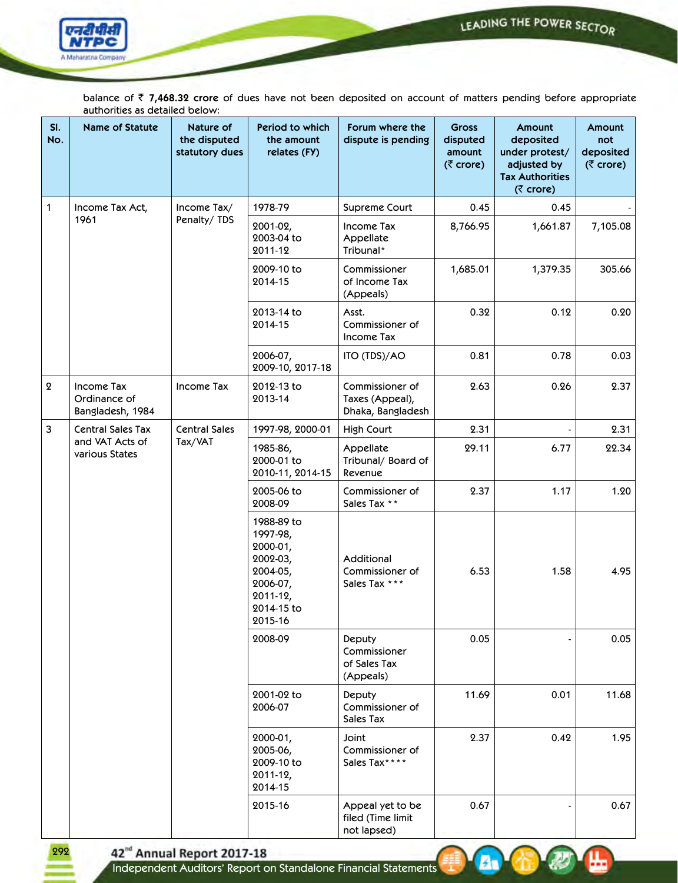

balance of ` **7,468.32 crore** of dues have not been deposited on account of matters pending before appropriate authorities as detailed below:

| SI.<br>No. | <b>Name of Statute</b>                         | Nature of<br>the disputed<br>statutory dues | Period to which<br>the amount<br>relates (FY)                                                               | Forum where the<br>dispute is pending                   | <b>Gross</b><br>disputed<br>amount<br>(₹ crore) | Amount<br>deposited<br>under protest/<br>adjusted by<br><b>Tax Authorities</b><br>$(5 \text{ core})$ | Amount<br>not<br>deposited<br>(₹ crore) |
|------------|------------------------------------------------|---------------------------------------------|-------------------------------------------------------------------------------------------------------------|---------------------------------------------------------|-------------------------------------------------|------------------------------------------------------------------------------------------------------|-----------------------------------------|
| 1<br>1961  | Income Tax Act,                                | Income Tax/<br>Penalty/TDS                  | 1978-79                                                                                                     | Supreme Court                                           | 0.45                                            | 0.45                                                                                                 |                                         |
|            |                                                |                                             | 2001-02,<br>2003-04 to<br>2011-12                                                                           | Income Tax<br>Appellate<br>Tribunal*                    | 8,766.95                                        | 1,661.87                                                                                             | 7,105.08                                |
|            |                                                |                                             | 2009-10 to<br>2014-15                                                                                       | Commissioner<br>of Income Tax<br>(Appeals)              | 1,685.01                                        | 1,379.35                                                                                             | 305.66                                  |
|            |                                                |                                             | 2013-14 to<br>2014-15                                                                                       | Asst.<br>Commissioner of<br>Income Tax                  | 0.32                                            | 0.12                                                                                                 | 0.20                                    |
|            |                                                |                                             | 2006-07,<br>2009-10, 2017-18                                                                                | ITO (TDS)/AO                                            | 0.81                                            | 0.78                                                                                                 | 0.03                                    |
| $\pmb{2}$  | Income Tax<br>Ordinance of<br>Bangladesh, 1984 | Income Tax                                  | 2012-13 to<br>2013-14                                                                                       | Commissioner of<br>Taxes (Appeal),<br>Dhaka, Bangladesh | 2.63                                            | 0.26                                                                                                 | 2.37                                    |
| 3          | <b>Central Sales Tax</b>                       | <b>Central Sales</b><br>Tax/VAT             | 1997-98, 2000-01                                                                                            | High Court                                              | 2.31                                            |                                                                                                      | 2.31                                    |
|            | and VAT Acts of<br>various States              |                                             | 1985-86,<br>2000-01 to<br>2010-11, 2014-15                                                                  | Appellate<br>Tribunal/ Board of<br>Revenue              | 29.11                                           | 6.77                                                                                                 | 22.34                                   |
|            |                                                |                                             | 2005-06 to<br>2008-09                                                                                       | Commissioner of<br>Sales Tax **                         | 2.37                                            | 1.17                                                                                                 | 1.20                                    |
|            |                                                |                                             | 1988-89 to<br>1997-98,<br>2000-01,<br>2002-03,<br>2004-05,<br>2006-07,<br>2011-12,<br>2014-15 to<br>2015-16 | Additional<br>Commissioner of<br>Sales Tax ***          | 6.53                                            | 1.58                                                                                                 | 4.95                                    |
|            |                                                |                                             | 2008-09                                                                                                     | Deputy<br>Commissioner<br>of Sales Tax<br>(Appeals)     | 0.05                                            |                                                                                                      | 0.05                                    |
|            |                                                |                                             | 2001-02 to<br>2006-07                                                                                       | <b>Deputy</b><br>Commissioner of<br><b>Sales Tax</b>    | 11.69                                           | 0.01                                                                                                 | 11.68                                   |
|            |                                                |                                             | 2000-01,<br>2005-06,<br>2009-10 to<br>2011-12,<br>2014-15                                                   | Joint<br>Commissioner of<br>Sales Tax****               | 2.37                                            | 0.42                                                                                                 | 1.95                                    |
|            |                                                |                                             | 2015-16                                                                                                     | Appeal yet to be<br>filed (Time limit<br>not lapsed)    | 0.67                                            |                                                                                                      | 0.67                                    |

292

42<sup>nd</sup> Annual Report 2017-18<br>Independent Auditors' Report on Standalone Financial Statements

**A**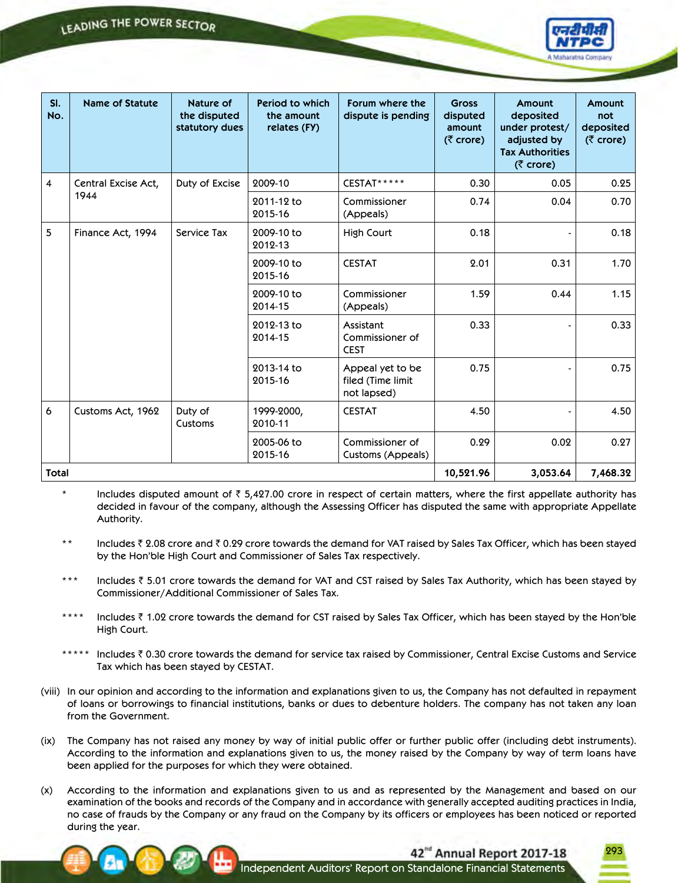

293

| SI.<br>No.   | <b>Name of Statute</b> | Nature of<br>the disputed<br>statutory dues | Period to which<br>the amount<br>relates (FY) | Forum where the<br>dispute is pending                | <b>Gross</b><br>disputed<br>amount<br>(₹ crore) | Amount<br>deposited<br>under protest/<br>adjusted by<br><b>Tax Authorities</b><br>$(5$ crore) | Amount<br>not<br>deposited<br>$(5$ crore) |
|--------------|------------------------|---------------------------------------------|-----------------------------------------------|------------------------------------------------------|-------------------------------------------------|-----------------------------------------------------------------------------------------------|-------------------------------------------|
| 4<br>1944    | Central Excise Act,    | Duty of Excise                              | 2009-10                                       | CESTAT*****                                          | 0.30                                            | 0.05                                                                                          | 0.25                                      |
|              |                        |                                             | 2011-12 to<br>2015-16                         | Commissioner<br>(Appeals)                            | 0.74                                            | 0.04                                                                                          | 0.70                                      |
| 5            | Finance Act, 1994      | <b>Service Tax</b>                          | 2009-10 to<br>2012-13                         | <b>High Court</b>                                    | 0.18                                            | $\blacksquare$                                                                                | 0.18                                      |
|              |                        |                                             | 2009-10 to<br>2015-16                         | <b>CESTAT</b>                                        | 2.01                                            | 0.31                                                                                          | 1.70                                      |
|              |                        |                                             | 2009-10 to<br>2014-15                         | Commissioner<br>(Appeals)                            | 1.59                                            | 0.44                                                                                          | 1.15                                      |
|              |                        |                                             | 2012-13 to<br>2014-15                         | Assistant<br>Commissioner of<br><b>CEST</b>          | 0.33                                            |                                                                                               | 0.33                                      |
|              |                        |                                             | 2013-14 to<br>2015-16                         | Appeal yet to be<br>filed (Time limit<br>not lapsed) | 0.75                                            |                                                                                               | 0.75                                      |
| 6            | Customs Act, 1962      | Duty of<br>Customs                          | 1999-2000,<br>2010-11                         | <b>CESTAT</b>                                        | 4.50                                            | $\blacksquare$                                                                                | 4.50                                      |
|              |                        |                                             | 2005-06 to<br>2015-16                         | Commissioner of<br>Customs (Appeals)                 | 0.29                                            | 0.02                                                                                          | 0.27                                      |
| <b>Total</b> |                        |                                             |                                               | 10,521.96                                            | 3,053.64                                        | 7,468.32                                                                                      |                                           |

- Includes disputed amount of  $\bar{\tau}$  5,427.00 crore in respect of certain matters, where the first appellate authority has decided in favour of the company, although the Assessing Officer has disputed the same with appropriate Appellate Authority.
- \*\* Includes  $\bar{\zeta}$  2.08 crore and  $\bar{\zeta}$  0.29 crore towards the demand for VAT raised by Sales Tax Officer, which has been stayed by the Hon'ble High Court and Commissioner of Sales Tax respectively.
- Includes  $\bar{\tau}$  5.01 crore towards the demand for VAT and CST raised by Sales Tax Authority, which has been stayed by Commissioner/Additional Commissioner of Sales Tax.
- \*\*\*\* Includes ₹1.02 crore towards the demand for CST raised by Sales Tax Officer, which has been stayed by the Hon'ble High Court.
- \*\*\*\*\* Includes ₹0.30 crore towards the demand for service tax raised by Commissioner, Central Excise Customs and Service Tax which has been stayed by CESTAT.
- (viii) In our opinion and according to the information and explanations given to us, the Company has not defaulted in repayment of loans or borrowings to financial institutions, banks or dues to debenture holders. The company has not taken any loan from the Government.
- (ix) The Company has not raised any money by way of initial public offer or further public offer (including debt instruments). According to the information and explanations given to us, the money raised by the Company by way of term loans have been applied for the purposes for which they were obtained.
- (x) According to the information and explanations given to us and as represented by the Management and based on our examination of the books and records of the Company and in accordance with generally accepted auditing practices in India, no case of frauds by the Company or any fraud on the Company by its officers or employees has been noticed or reported during the year.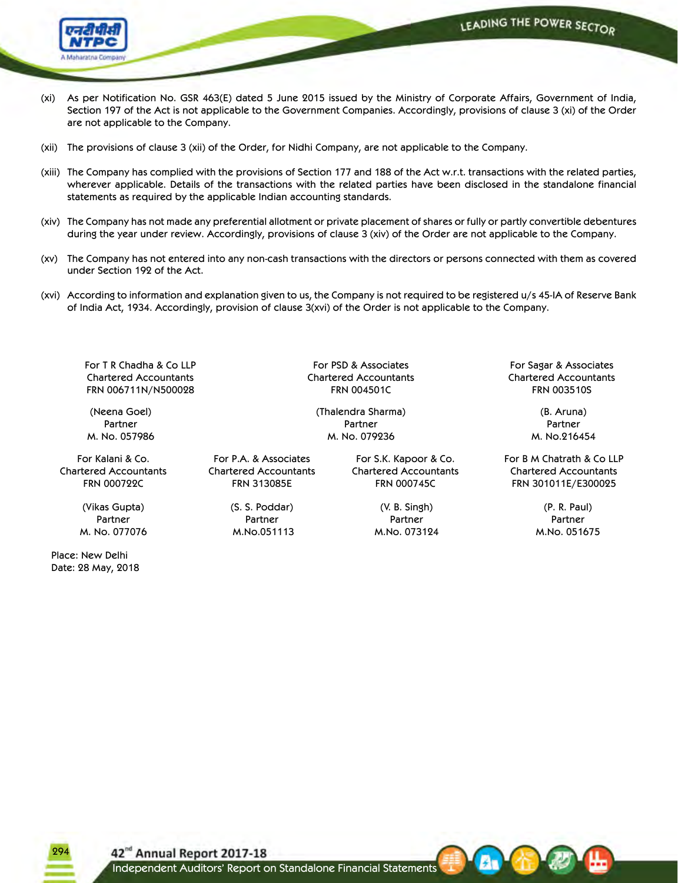

- (xi) As per Notification No. GSR 463(E) dated 5 June 2015 issued by the Ministry of Corporate Affairs, Government of India, Section 197 of the Act is not applicable to the Government Companies. Accordingly, provisions of clause 3 (xi) of the Order are not applicable to the Company.
- (xii) The provisions of clause 3 (xii) of the Order, for Nidhi Company, are not applicable to the Company.

For P.A. & Associates Chartered Accountants FRN 313085E

> (S. S. Poddar) Partner M.No.051113

- (xiii) The Company has complied with the provisions of Section 177 and 188 of the Act w.r.t. transactions with the related parties, wherever applicable. Details of the transactions with the related parties have been disclosed in the standalone financial statements as required by the applicable Indian accounting standards.
- (xiv) The Company has not made any preferential allotment or private placement of shares or fully or partly convertible debentures during the year under review. Accordingly, provisions of clause 3 (xiv) of the Order are not applicable to the Company.
- (xv) The Company has not entered into any non-cash transactions with the directors or persons connected with them as covered under Section 192 of the Act.
- (xvi) According to information and explanation given to us, the Company is not required to be registered u/s 45-IA of Reserve Bank of India Act, 1934. Accordingly, provision of clause 3(xvi) of the Order is not applicable to the Company.

For T R Chadha & Co LLP Chartered Accountants FRN 006711N/N500028

(Neena Goel) **Partner** M. No. 057986

For Kalani & Co. Chartered Accountants FRN 000722C

> (Vikas Gupta) Partner M. No. 077076

Place: New Delhi Date: 28 May, 2018

294

For PSD & Associates Chartered Accountants FRN 004501C

(Thalendra Sharma) Partner M. No. 079236

> For S.K. Kapoor & Co. Chartered Accountants FRN 000745C

> > (V. B. Singh) Partner M.No. 073124

For Sagar & Associates Chartered Accountants FRN 003510S

> (B. Aruna) Partner M. No.216454

For B M Chatrath & Co LLP Chartered Accountants FRN 301011E/E300025

> (P. R. Paul) Partner M.No. 051675

42<sup>nd</sup> Annual Report 2017-18

Independent Auditors' Report on Standalone Financial Statements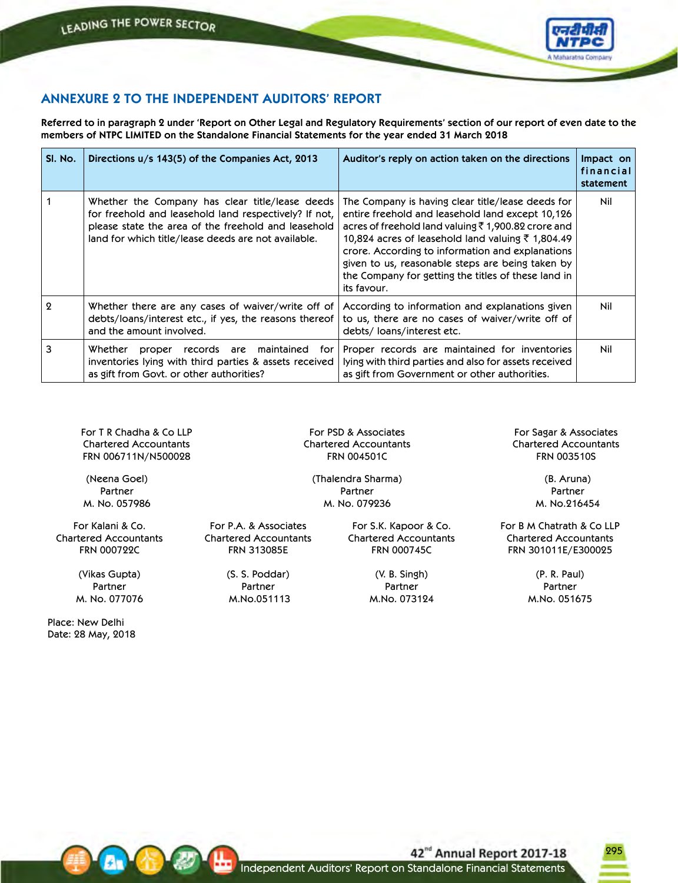

## **ANNEXURE 2 TO THE INDEPENDENT AUDITORS' REPORT**

Referred to in paragraph 2 under 'Report on Other Legal and Regulatory Requirements' section of our report of even date to the **members of NTPC LIMITED on the Standalone Financial Statements for the year ended 31 March 2018**

| SI. No. | Directions u/s 143(5) of the Companies Act, 2013                                                                                                                                                                       | Auditor's reply on action taken on the directions                                                                                                                                                                                                                                                                                                                                              | Impact on<br>financial<br>statement |
|---------|------------------------------------------------------------------------------------------------------------------------------------------------------------------------------------------------------------------------|------------------------------------------------------------------------------------------------------------------------------------------------------------------------------------------------------------------------------------------------------------------------------------------------------------------------------------------------------------------------------------------------|-------------------------------------|
|         | Whether the Company has clear title/lease deeds<br>for freehold and leasehold land respectively? If not,<br>please state the area of the freehold and leasehold<br>land for which title/lease deeds are not available. | The Company is having clear title/lease deeds for<br>entire freehold and leasehold land except 10,126<br>acres of freehold land valuing ₹1,900.82 crore and<br>10,824 acres of leasehold land valuing ₹ 1,804.49<br>crore. According to information and explanations<br>given to us, reasonable steps are being taken by<br>the Company for getting the titles of these land in<br>its favour. | Nil                                 |
| 9       | Whether there are any cases of waiver/write off of<br>debts/loans/interest etc., if yes, the reasons thereof<br>and the amount involved.                                                                               | According to information and explanations given<br>to us, there are no cases of waiver/write off of<br>debts/loans/interest etc.                                                                                                                                                                                                                                                               | Nil                                 |
| 3       | Whether<br>records are maintained<br>for<br>proper<br>inventories lying with third parties & assets received<br>as gift from Govt. or other authorities?                                                               | Proper records are maintained for inventories<br>lying with third parties and also for assets received<br>as gift from Government or other authorities.                                                                                                                                                                                                                                        | Nil                                 |

For T R Chadha & Co LLP Chartered Accountants FRN 006711N/N500028

(Neena Goel) **Partner** M. No. 057986

For Kalani & Co. Chartered Accountants FRN 000722C

> (Vikas Gupta) Partner M. No. 077076

Place: New Delhi Date: 28 May, 2018

For P.A. & Associates Chartered Accountants

> (S. S. Poddar) **Partner** M.No.051113

FRN 313085E

For S.K. Kapoor & Co. Chartered Accountants FRN 000745C

(Thalendra Sharma) Partner M. No. 079236

For PSD & Associates Chartered Accountants FRN 004501C

> (V. B. Singh) **Partner** M.No. 073124

For Sagar & Associates Chartered Accountants FRN 003510S

> (B. Aruna) **Partner** M. No.216454

For B M Chatrath & Co LLP Chartered Accountants FRN 301011E/E300025

> (P. R. Paul) Partner M.No. 051675

Independent Auditors' Report on Standalone Financial Statements

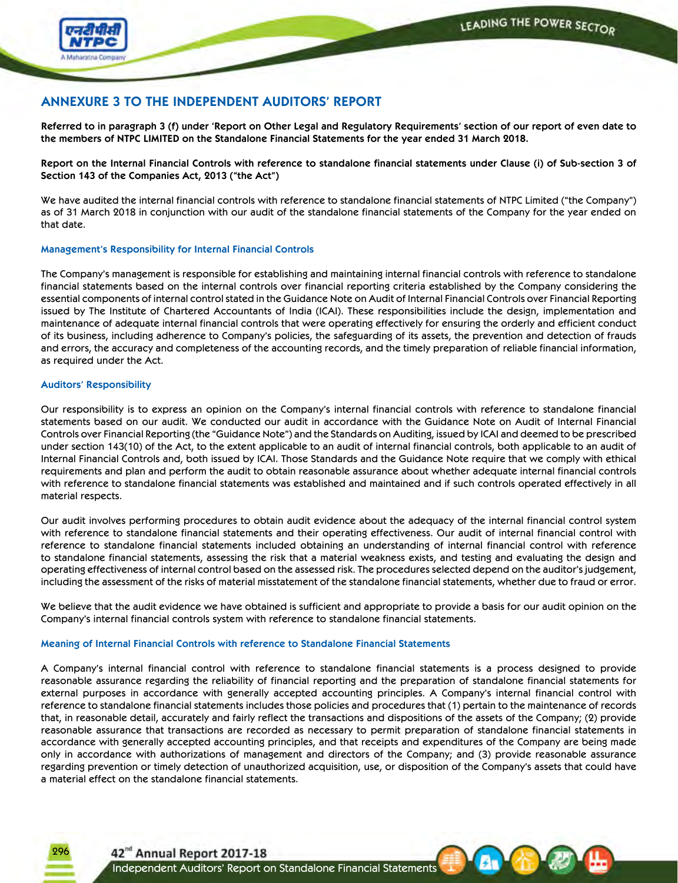

# **ANNEXURE 3 TO THE INDEPENDENT AUDITORS' REPORT**

Referred to in paragraph 3 (f) under 'Report on Other Legal and Regulatory Requirements' section of our report of even date to **the members of NTPC LIMITED on the Standalone Financial Statements for the year ended 31 March 2018.**

Report on the Internal Financial Controls with reference to standalone financial statements under Clause (i) of Sub-section 3 of **Section 143 of the Companies Act, 2013 ("the Act")**

We have audited the internal financial controls with reference to standalone financial statements of NTPC Limited ("the Company") as of 31 March 2018 in conjunction with our audit of the standalone financial statements of the Company for the year ended on that date.

### **Management's Responsibility for Internal Financial Controls**

The Company's management is responsible for establishing and maintaining internal financial controls with reference to standalone financial statements based on the internal controls over financial reporting criteria established by the Company considering the essential components of internal control stated in the Guidance Note on Audit of Internal Financial Controls over Financial Reporting issued by The Institute of Chartered Accountants of India (ICAI). These responsibilities include the design, implementation and maintenance of adequate internal financial controls that were operating effectively for ensuring the orderly and efficient conduct of its business, including adherence to Company's policies, the safeguarding of its assets, the prevention and detection of frauds and errors, the accuracy and completeness of the accounting records, and the timely preparation of reliable financial information, as required under the Act.

### **Auditors' Responsibility**

296

Our responsibility is to express an opinion on the Company's internal financial controls with reference to standalone financial statements based on our audit. We conducted our audit in accordance with the Guidance Note on Audit of Internal Financial Controls over Financial Reporting (the "Guidance Note") and the Standards on Auditing, issued by ICAI and deemed to be prescribed under section 143(10) of the Act, to the extent applicable to an audit of internal financial controls, both applicable to an audit of Internal Financial Controls and, both issued by ICAI. Those Standards and the Guidance Note require that we comply with ethical requirements and plan and perform the audit to obtain reasonable assurance about whether adequate internal financial controls with reference to standalone financial statements was established and maintained and if such controls operated effectively in all material respects.

Our audit involves performing procedures to obtain audit evidence about the adequacy of the internal financial control system with reference to standalone financial statements and their operating effectiveness. Our audit of internal financial control with reference to standalone financial statements included obtaining an understanding of internal financial control with reference to standalone financial statements, assessing the risk that a material weakness exists, and testing and evaluating the design and operating effectiveness of internal control based on the assessed risk. The procedures selected depend on the auditor's judgement, including the assessment of the risks of material misstatement of the standalone financial statements, whether due to fraud or error.

We believe that the audit evidence we have obtained is sufficient and appropriate to provide a basis for our audit opinion on the Company's internal financial controls system with reference to standalone financial statements.

### **Meaning of Internal Financial Controls with reference to Standalone Financial Statements**

A Company's internal financial control with reference to standalone financial statements is a process designed to provide reasonable assurance regarding the reliability of financial reporting and the preparation of standalone financial statements for external purposes in accordance with generally accepted accounting principles. A Company's internal financial control with reference to standalone financial statements includes those policies and procedures that (1) pertain to the maintenance of records that, in reasonable detail, accurately and fairly reflect the transactions and dispositions of the assets of the Company; (2) provide reasonable assurance that transactions are recorded as necessary to permit preparation of standalone financial statements in accordance with generally accepted accounting principles, and that receipts and expenditures of the Company are being made only in accordance with authorizations of management and directors of the Company; and (3) provide reasonable assurance regarding prevention or timely detection of unauthorized acquisition, use, or disposition of the Company's assets that could have a material effect on the standalone financial statements.